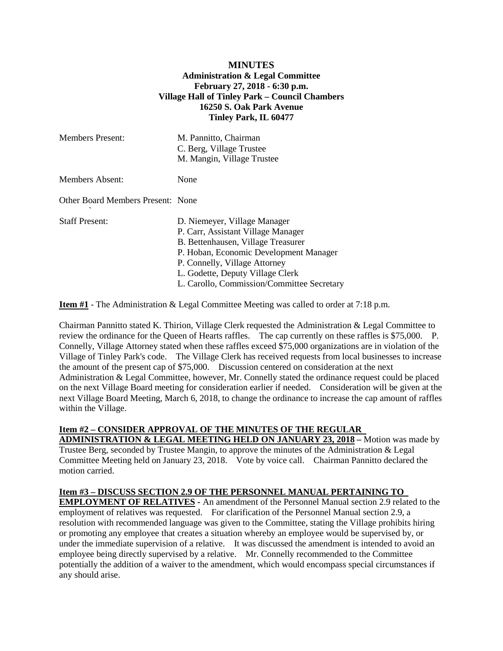## **MINUTES Administration & Legal Committee February 27, 2018 - 6:30 p.m. Village Hall of Tinley Park – Council Chambers 16250 S. Oak Park Avenue Tinley Park, IL 60477**

| <b>Members Present:</b>           | M. Pannitto, Chairman<br>C. Berg, Village Trustee<br>M. Mangin, Village Trustee                                                                                                                                                                                       |
|-----------------------------------|-----------------------------------------------------------------------------------------------------------------------------------------------------------------------------------------------------------------------------------------------------------------------|
| <b>Members Absent:</b>            | None                                                                                                                                                                                                                                                                  |
| Other Board Members Present: None |                                                                                                                                                                                                                                                                       |
| <b>Staff Present:</b>             | D. Niemeyer, Village Manager<br>P. Carr, Assistant Village Manager<br>B. Bettenhausen, Village Treasurer<br>P. Hoban, Economic Development Manager<br>P. Connelly, Village Attorney<br>L. Godette, Deputy Village Clerk<br>L. Carollo, Commission/Committee Secretary |

**Item #1** - The Administration & Legal Committee Meeting was called to order at 7:18 p.m.

Chairman Pannitto stated K. Thirion, Village Clerk requested the Administration & Legal Committee to review the ordinance for the Queen of Hearts raffles. The cap currently on these raffles is \$75,000. P. Connelly, Village Attorney stated when these raffles exceed \$75,000 organizations are in violation of the Village of Tinley Park's code. The Village Clerk has received requests from local businesses to increase the amount of the present cap of \$75,000. Discussion centered on consideration at the next Administration & Legal Committee, however, Mr. Connelly stated the ordinance request could be placed on the next Village Board meeting for consideration earlier if needed. Consideration will be given at the next Village Board Meeting, March 6, 2018, to change the ordinance to increase the cap amount of raffles within the Village.

## **Item #2 – CONSIDER APPROVAL OF THE MINUTES OF THE REGULAR**

**ADMINISTRATION & LEGAL MEETING HELD ON JANUARY 23, 2018 –** Motion was made by Trustee Berg, seconded by Trustee Mangin, to approve the minutes of the Administration & Legal Committee Meeting held on January 23, 2018. Vote by voice call. Chairman Pannitto declared the motion carried.

## **Item #3 – DISCUSS SECTION 2.9 OF THE PERSONNEL MANUAL PERTAINING TO**

**EMPLOYMENT OF RELATIVES -** An amendment of the Personnel Manual section 2.9 related to the employment of relatives was requested. For clarification of the Personnel Manual section 2.9, a resolution with recommended language was given to the Committee, stating the Village prohibits hiring or promoting any employee that creates a situation whereby an employee would be supervised by, or under the immediate supervision of a relative. It was discussed the amendment is intended to avoid an employee being directly supervised by a relative. Mr. Connelly recommended to the Committee potentially the addition of a waiver to the amendment, which would encompass special circumstances if any should arise.